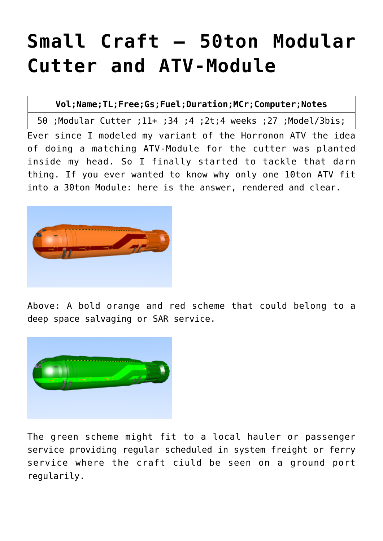## **[Small Craft – 50ton Modular](http://traveller.chromeblack.com/a-dummy-collection-of-old-news-12/) [Cutter and ATV-Module](http://traveller.chromeblack.com/a-dummy-collection-of-old-news-12/)**

**Vol;Name;TL;Free;Gs;Fuel;Duration;MCr;Computer[;Notes](http://traveller.chromeblack.com/small-craft-listing/)**

50 [;Modular Cutter](http://traveller.chromeblack.com/?p=1074) ;11+ ;34 ;4 ;2t;4 weeks ;27 ;Model/3bis;

Ever since I modeled my variant of the Horronon ATV the idea of doing a matching ATV-Module for the cutter was planted inside my head. So I finally started to tackle that darn thing. If you ever wanted to know why only one 10ton ATV fit into a 30ton Module: here is the answer, rendered and clear.



Above: A bold orange and red scheme that could belong to a deep space salvaging or SAR service.



The green scheme might fit to a local hauler or passenger service providing regular scheduled in system freight or ferry service where the craft ciuld be seen on a ground port regularily.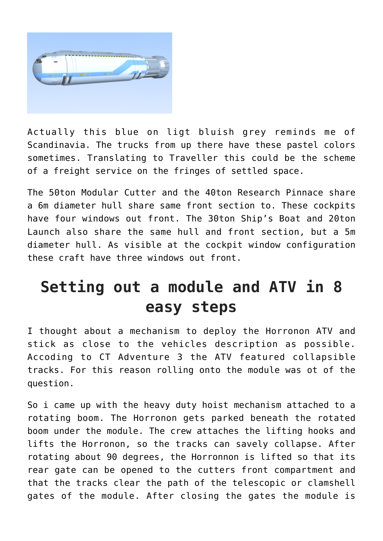

Actually this blue on ligt bluish grey reminds me of Scandinavia. The trucks from up there have these pastel colors sometimes. Translating to Traveller this could be the scheme of a freight service on the fringes of settled space.

The [50ton Modular Cutter](http://traveller.chromeblack.com/?p=543) and th[e 40ton Research Pinnace](http://traveller.chromeblack.com/?p=540) share a 6m diameter hull share same front section to. These cockpits have four windows out front. The [30ton Ship's Boat](http://traveller.chromeblack.com/?p=804) and [20ton](http://traveller.chromeblack.com/?p=807) [Launch](http://traveller.chromeblack.com/?p=807) also share the same hull and front section, but a 5m diameter hull. As visible at the cockpit window configuration these craft have three windows out front.

## **Setting out a module and ATV in 8 easy steps**

I thought about a mechanism to deploy the Horronon ATV and stick as close to the vehicles description as possible. Accoding to CT Adventure 3 the ATV featured collapsible tracks. For this reason rolling onto the module was ot of the question.

So i came up with the heavy duty hoist mechanism attached to a rotating boom. The Horronon gets parked beneath the rotated boom under the module. The crew attaches the lifting hooks and lifts the Horronon, so the tracks can savely collapse. After rotating about 90 degrees, the Horronnon is lifted so that its rear gate can be opened to the cutters front compartment and that the tracks clear the path of the telescopic or clamshell gates of the module. After closing the gates the module is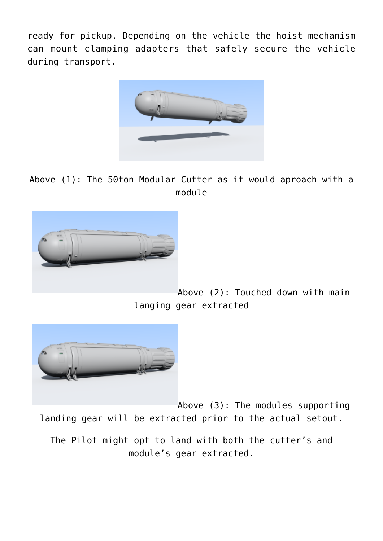ready for pickup. Depending on the vehicle the hoist mechanism can mount clamping adapters that safely secure the vehicle during transport.



Above (1): The 50ton Modular Cutter as it would aproach with a module



Above (2): Touched down with main langing gear extracted



Above (3): The modules supporting landing gear will be extracted prior to the actual setout.

The Pilot might opt to land with both the cutter's and module's gear extracted.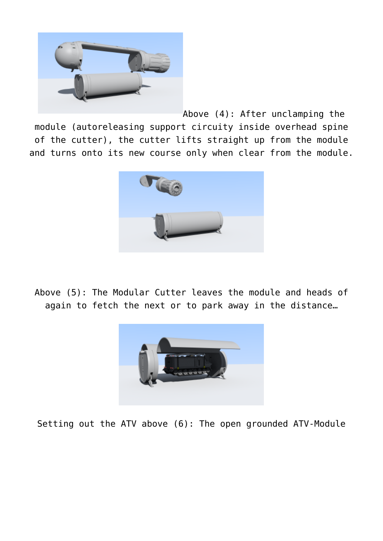

Above (4): After unclamping the module (autoreleasing support circuity inside overhead spine of the cutter), the cutter lifts straight up from the module and turns onto its new course only when clear from the module.



Above (5): The Modular Cutter leaves the module and heads of again to fetch the next or to park away in the distance…



Setting out the ATV above (6): The open grounded ATV-Module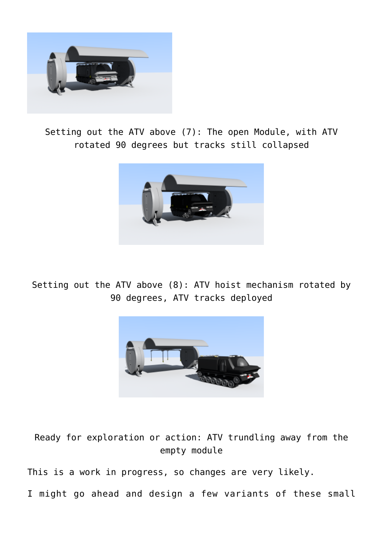

Setting out the ATV above (7): The open Module, with ATV rotated 90 degrees but tracks still collapsed



Setting out the ATV above (8): ATV hoist mechanism rotated by 90 degrees, ATV tracks deployed



Ready for exploration or action: ATV trundling away from the empty module

This is a work in progress, so changes are very likely.

I might go ahead and design a few variants of these small